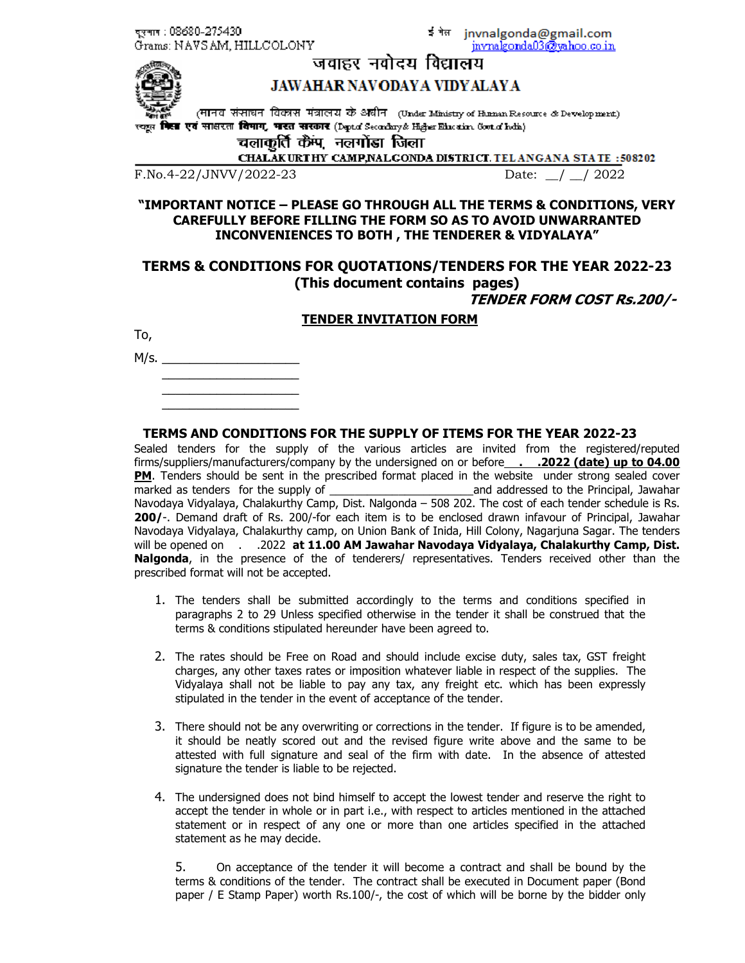दरमाग : 08680-275430 Grams: NAVSAM, HILLCOLONY इंगेल jnvnalgonda@gmail.com invnalgonda03@vahoo.co.in



# जवाहर नवोदय विद्यालय

# **JAWAHAR NAVODAYA VIDYALAYA**

(मानवः संसाधनः विकासः मंत्रालयः के अधीनः (Under Ministry of Human Resource & Development) ( **किस** एवं साक्षरता विमाग, भारत सरकार (Depta Secardary& Higher Education Goot a' holis)

चलाकर्ति कैंप, नलगोंडा जिला

CHALAKURTHY CAMP, NALGONDA DISTRICT. TELANGANA STATE: 508202

F.No.4-22/JNVV/2022-23 Date: / / 2022

## **"IMPORTANT NOTICE – PLEASE GO THROUGH ALL THE TERMS & CONDITIONS, VERY CAREFULLY BEFORE FILLING THE FORM SO AS TO AVOID UNWARRANTED INCONVENIENCES TO BOTH , THE TENDERER & VIDYALAYA"**

# **TERMS & CONDITIONS FOR QUOTATIONS/TENDERS FOR THE YEAR 2022-23 (This document contains pages)**

**TENDER FORM COST Rs.200/-** 

|  |  | TENDER INVITATION FORM |  |
|--|--|------------------------|--|
|--|--|------------------------|--|

To,

M/s. \_\_\_\_\_\_\_\_\_\_\_\_\_\_\_\_\_\_\_\_  $\overline{\phantom{a}}$  , and the set of the set of the set of the set of the set of the set of the set of the set of the set of the set of the set of the set of the set of the set of the set of the set of the set of the set of the s

 $\overline{\phantom{a}}$  , and the set of the set of the set of the set of the set of the set of the set of the set of the set of the set of the set of the set of the set of the set of the set of the set of the set of the set of the s  $\overline{\phantom{a}}$  , and the set of the set of the set of the set of the set of the set of the set of the set of the set of the set of the set of the set of the set of the set of the set of the set of the set of the set of the s

### **TERMS AND CONDITIONS FOR THE SUPPLY OF ITEMS FOR THE YEAR 2022-23**

Sealed tenders for the supply of the various articles are invited from the registered/reputed firms/suppliers/manufacturers/company by the undersigned on or before **. . .2022 (date) up to 04.00 PM**. Tenders should be sent in the prescribed format placed in the website under strong sealed cover marked as tenders for the supply of the supply of the state of and addressed to the Principal, Jawahar Navodaya Vidyalaya, Chalakurthy Camp, Dist. Nalgonda – 508 202. The cost of each tender schedule is Rs. **200/**-. Demand draft of Rs. 200/-for each item is to be enclosed drawn infavour of Principal, Jawahar Navodaya Vidyalaya, Chalakurthy camp, on Union Bank of Inida, Hill Colony, Nagarjuna Sagar. The tenders will be opened on . . .2022 at 11.00 AM Jawahar Navodaya Vidyalaya, Chalakurthy Camp, Dist. **Nalgonda**, in the presence of the of tenderers/ representatives. Tenders received other than the prescribed format will not be accepted.

- 1. The tenders shall be submitted accordingly to the terms and conditions specified in paragraphs 2 to 29 Unless specified otherwise in the tender it shall be construed that the terms & conditions stipulated hereunder have been agreed to.
- 2. The rates should be Free on Road and should include excise duty, sales tax, GST freight charges, any other taxes rates or imposition whatever liable in respect of the supplies. The Vidyalaya shall not be liable to pay any tax, any freight etc. which has been expressly stipulated in the tender in the event of acceptance of the tender.
- 3. There should not be any overwriting or corrections in the tender. If figure is to be amended, it should be neatly scored out and the revised figure write above and the same to be attested with full signature and seal of the firm with date. In the absence of attested signature the tender is liable to be rejected.
- 4. The undersigned does not bind himself to accept the lowest tender and reserve the right to accept the tender in whole or in part i.e., with respect to articles mentioned in the attached statement or in respect of any one or more than one articles specified in the attached statement as he may decide.

5. On acceptance of the tender it will become a contract and shall be bound by the terms & conditions of the tender. The contract shall be executed in Document paper (Bond paper / E Stamp Paper) worth Rs.100/-, the cost of which will be borne by the bidder only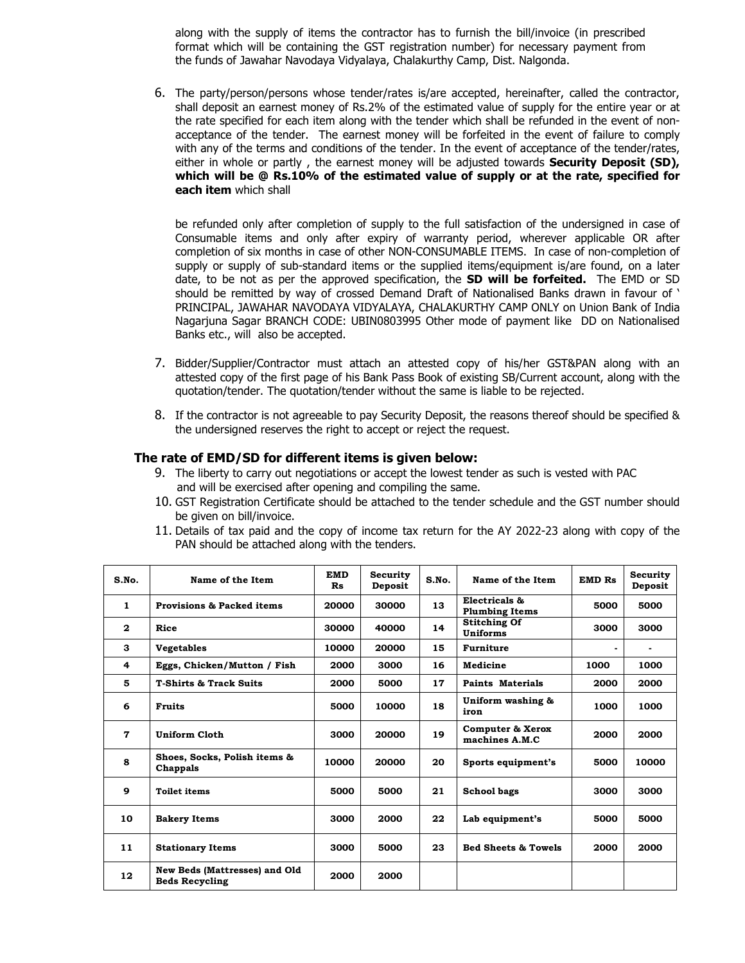along with the supply of items the contractor has to furnish the bill/invoice (in prescribed format which will be containing the GST registration number) for necessary payment from the funds of Jawahar Navodaya Vidyalaya, Chalakurthy Camp, Dist. Nalgonda.

6. The party/person/persons whose tender/rates is/are accepted, hereinafter, called the contractor, shall deposit an earnest money of Rs.2% of the estimated value of supply for the entire year or at the rate specified for each item along with the tender which shall be refunded in the event of nonacceptance of the tender. The earnest money will be forfeited in the event of failure to comply with any of the terms and conditions of the tender. In the event of acceptance of the tender/rates, either in whole or partly , the earnest money will be adjusted towards **Security Deposit (SD), which will be @ Rs.10% of the estimated value of supply or at the rate, specified for each item** which shall

be refunded only after completion of supply to the full satisfaction of the undersigned in case of Consumable items and only after expiry of warranty period, wherever applicable OR after completion of six months in case of other NON-CONSUMABLE ITEMS. In case of non-completion of supply or supply of sub-standard items or the supplied items/equipment is/are found, on a later date, to be not as per the approved specification, the **SD will be forfeited.** The EMD or SD should be remitted by way of crossed Demand Draft of Nationalised Banks drawn in favour of ' PRINCIPAL, JAWAHAR NAVODAYA VIDYALAYA, CHALAKURTHY CAMP ONLY on Union Bank of India Nagarjuna Sagar BRANCH CODE: UBIN0803995 Other mode of payment like DD on Nationalised Banks etc., will also be accepted.

- 7. Bidder/Supplier/Contractor must attach an attested copy of his/her GST&PAN along with an attested copy of the first page of his Bank Pass Book of existing SB/Current account, along with the quotation/tender. The quotation/tender without the same is liable to be rejected.
- 8. If the contractor is not agreeable to pay Security Deposit, the reasons thereof should be specified & the undersigned reserves the right to accept or reject the request.

### **The rate of EMD/SD for different items is given below:**

- 9. The liberty to carry out negotiations or accept the lowest tender as such is vested with PAC and will be exercised after opening and compiling the same.
- 10. GST Registration Certificate should be attached to the tender schedule and the GST number should be given on bill/invoice.
- 11. Details of tax paid and the copy of income tax return for the AY 2022-23 along with copy of the PAN should be attached along with the tenders.

| S.No.        | Name of the Item                                              | <b>EMD</b><br>R <sub>s</sub> | Security<br>Deposit | S.No. | Name of the Item                       | <b>EMD Rs</b>  | Security<br>Deposit |
|--------------|---------------------------------------------------------------|------------------------------|---------------------|-------|----------------------------------------|----------------|---------------------|
| $\mathbf{1}$ | <b>Provisions &amp; Packed items</b>                          | 20000                        | 30000               | 13    | Electricals &<br><b>Plumbing Items</b> | 5000           | 5000                |
| $\mathbf{2}$ | Rice                                                          | 30000                        | 40000               | 14    | <b>Stitching Of</b><br><b>Uniforms</b> | 3000           | 3000                |
| 3            | <b>Vegetables</b>                                             | 10000                        | 20000               | 15    | <b>Furniture</b>                       | $\blacksquare$ |                     |
| 4            | Eggs, Chicken/Mutton / Fish                                   | 2000                         | 3000                | 16    | Medicine                               | 1000           | 1000                |
| 5            | <b>T-Shirts &amp; Track Suits</b>                             | 2000                         | 5000                | 17    | <b>Paints Materials</b>                | 2000           | 2000                |
| 6            | <b>Fruits</b>                                                 | 5000                         | 10000               | 18    | Uniform washing &<br>iron              | 1000           | 1000                |
| 7            | Uniform Cloth                                                 | 3000                         | 20000               | 19    | Computer & Xerox<br>machines A.M.C     | 2000           | 2000                |
| 8            | Shoes, Socks, Polish items &<br>Chappals                      | 10000                        | 20000               | 20    | Sports equipment's                     | 5000           | 10000               |
| 9            | <b>Toilet items</b>                                           | 5000                         | 5000                | 21    | School bags                            | 3000           | 3000                |
| 10           | <b>Bakery Items</b>                                           | 3000                         | 2000                | 22    | Lab equipment's                        | 5000           | 5000                |
| 11           | <b>Stationary Items</b>                                       | 3000                         | 5000                | 23    | <b>Bed Sheets &amp; Towels</b>         | 2000           | 2000                |
| 12           | <b>New Beds (Mattresses) and Old</b><br><b>Beds Recycling</b> | 2000                         | 2000                |       |                                        |                |                     |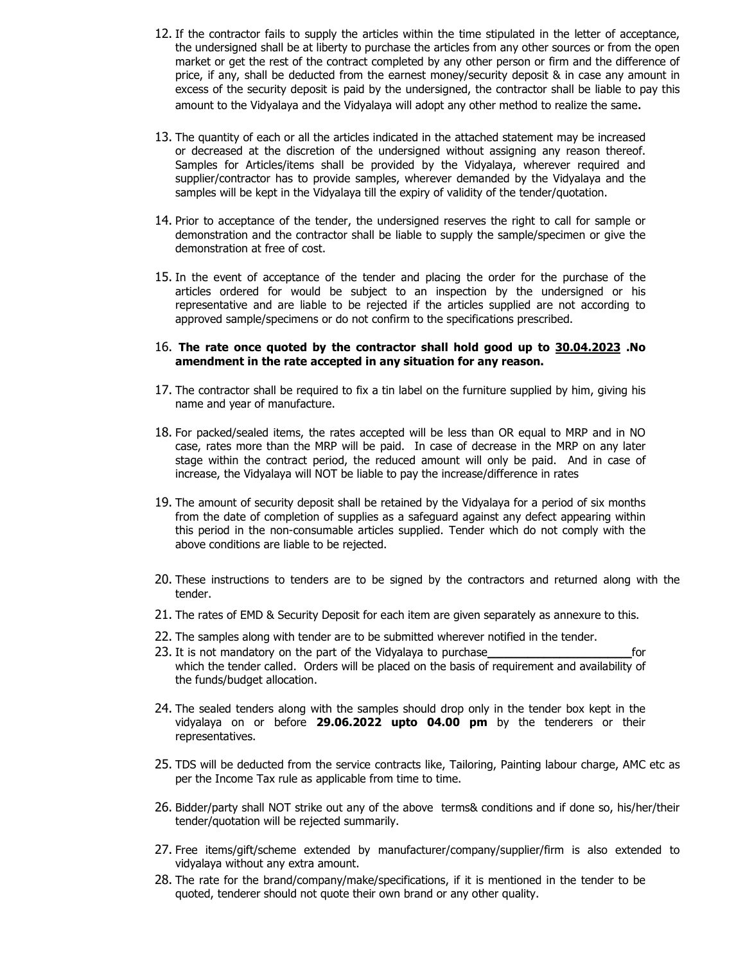- 12. If the contractor fails to supply the articles within the time stipulated in the letter of acceptance, the undersigned shall be at liberty to purchase the articles from any other sources or from the open market or get the rest of the contract completed by any other person or firm and the difference of price, if any, shall be deducted from the earnest money/security deposit & in case any amount in excess of the security deposit is paid by the undersigned, the contractor shall be liable to pay this amount to the Vidyalaya and the Vidyalaya will adopt any other method to realize the same.
- 13. The quantity of each or all the articles indicated in the attached statement may be increased or decreased at the discretion of the undersigned without assigning any reason thereof. Samples for Articles/items shall be provided by the Vidyalaya, wherever required and supplier/contractor has to provide samples, wherever demanded by the Vidyalaya and the samples will be kept in the Vidyalaya till the expiry of validity of the tender/quotation.
- 14. Prior to acceptance of the tender, the undersigned reserves the right to call for sample or demonstration and the contractor shall be liable to supply the sample/specimen or give the demonstration at free of cost.
- 15. In the event of acceptance of the tender and placing the order for the purchase of the articles ordered for would be subject to an inspection by the undersigned or his representative and are liable to be rejected if the articles supplied are not according to approved sample/specimens or do not confirm to the specifications prescribed.

#### 16. **The rate once quoted by the contractor shall hold good up to 30.04.2023 .No amendment in the rate accepted in any situation for any reason.**

- 17. The contractor shall be required to fix a tin label on the furniture supplied by him, giving his name and year of manufacture.
- 18. For packed/sealed items, the rates accepted will be less than OR equal to MRP and in NO case, rates more than the MRP will be paid. In case of decrease in the MRP on any later stage within the contract period, the reduced amount will only be paid. And in case of increase, the Vidyalaya will NOT be liable to pay the increase/difference in rates
- 19. The amount of security deposit shall be retained by the Vidyalaya for a period of six months from the date of completion of supplies as a safeguard against any defect appearing within this period in the non-consumable articles supplied. Tender which do not comply with the above conditions are liable to be rejected.
- 20. These instructions to tenders are to be signed by the contractors and returned along with the tender.
- 21. The rates of EMD & Security Deposit for each item are given separately as annexure to this.
- 22. The samples along with tender are to be submitted wherever notified in the tender.
- 23. It is not mandatory on the part of the Vidyalaya to purchase**\_\_\_\_\_\_\_\_\_\_\_\_\_\_\_\_\_\_**for which the tender called. Orders will be placed on the basis of requirement and availability of the funds/budget allocation.
- 24. The sealed tenders along with the samples should drop only in the tender box kept in the vidyalaya on or before **29.06.2022 upto 04.00 pm** by the tenderers or their representatives.
- 25. TDS will be deducted from the service contracts like, Tailoring, Painting labour charge, AMC etc as per the Income Tax rule as applicable from time to time.
- 26. Bidder/party shall NOT strike out any of the above terms& conditions and if done so, his/her/their tender/quotation will be rejected summarily.
- 27. Free items/gift/scheme extended by manufacturer/company/supplier/firm is also extended to vidyalaya without any extra amount.
- 28. The rate for the brand/company/make/specifications, if it is mentioned in the tender to be quoted, tenderer should not quote their own brand or any other quality.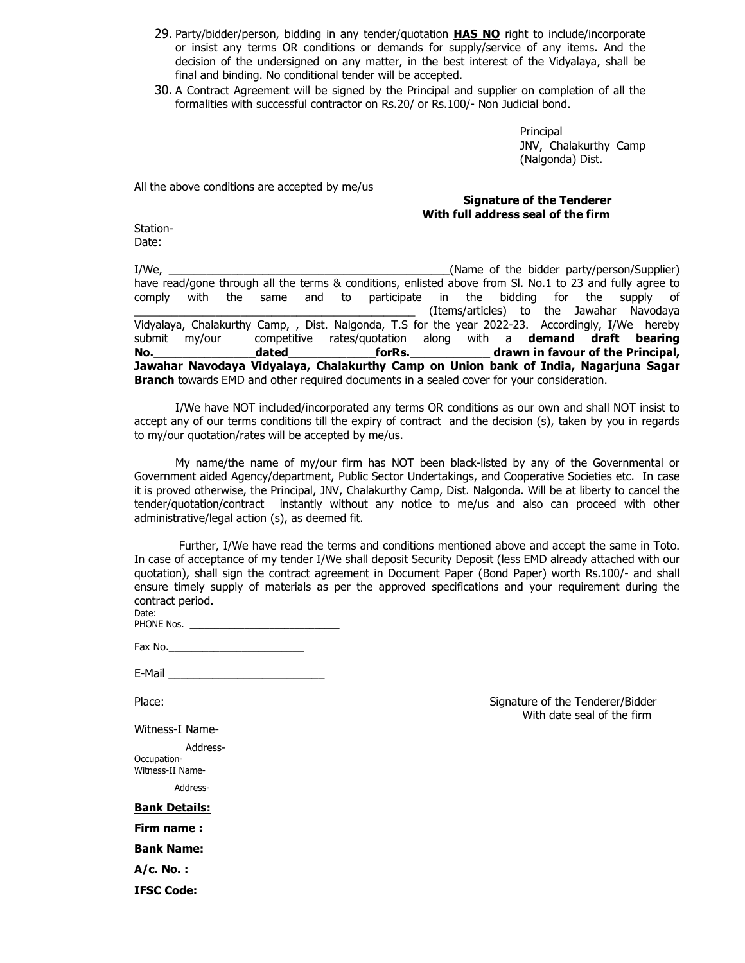- 29. Party/bidder/person, bidding in any tender/quotation **HAS NO** right to include/incorporate or insist any terms OR conditions or demands for supply/service of any items. And the decision of the undersigned on any matter, in the best interest of the Vidyalaya, shall be final and binding. No conditional tender will be accepted.
- 30. A Contract Agreement will be signed by the Principal and supplier on completion of all the formalities with successful contractor on Rs.20/ or Rs.100/- Non Judicial bond.

Principal JNV, Chalakurthy Camp (Nalgonda) Dist.

All the above conditions are accepted by me/us

### **Signature of the Tenderer With full address seal of the firm**

Station-Date:

I/We, the contract of the bidder party/person/Supplier) and the state of the bidder party/person/Supplier) have read/gone through all the terms & conditions, enlisted above from Sl. No.1 to 23 and fully agree to comply of comply of comply with the same and to participate in the bidding for the supply of (Items/articles) to the Jawahar Navodaya Vidyalaya, Chalakurthy Camp, , Dist. Nalgonda, T.S for the year 2022-23. Accordingly, I/We hereby submit my/our competitive rates/quotation along with a **demand draft bearing No. ho.** *dated* **<b>no.** *n dated n forRs. <b><i>drawn in favour of the Principal,*  $\boldsymbol{r}$ **Jawahar Navodaya Vidyalaya, Chalakurthy Camp on Union bank of India, Nagarjuna Sagar Branch** towards EMD and other required documents in a sealed cover for your consideration.

 I/We have NOT included/incorporated any terms OR conditions as our own and shall NOT insist to accept any of our terms conditions till the expiry of contract and the decision (s), taken by you in regards to my/our quotation/rates will be accepted by me/us.

 My name/the name of my/our firm has NOT been black-listed by any of the Governmental or Government aided Agency/department, Public Sector Undertakings, and Cooperative Societies etc. In case it is proved otherwise, the Principal, JNV, Chalakurthy Camp, Dist. Nalgonda. Will be at liberty to cancel the tender/quotation/contract instantly without any notice to me/us and also can proceed with other administrative/legal action (s), as deemed fit.

 Further, I/We have read the terms and conditions mentioned above and accept the same in Toto. In case of acceptance of my tender I/We shall deposit Security Deposit (less EMD already attached with our quotation), shall sign the contract agreement in Document Paper (Bond Paper) worth Rs.100/- and shall ensure timely supply of materials as per the approved specifications and your requirement during the contract period. Date:

| ----       |  |
|------------|--|
| PHONE Nos. |  |

| Fax No. |  |  |  |
|---------|--|--|--|
|         |  |  |  |

| E-Mail |
|--------|
|--------|

Witness-I Name-

Address-

Occupation-Witness-II Name-

Address-

**Bank Details:**

**Firm name :** 

**Bank Name:** 

**A/c. No. :** 

**IFSC Code:** 

Place: Signature of the Tenderer/Bidder With date seal of the firm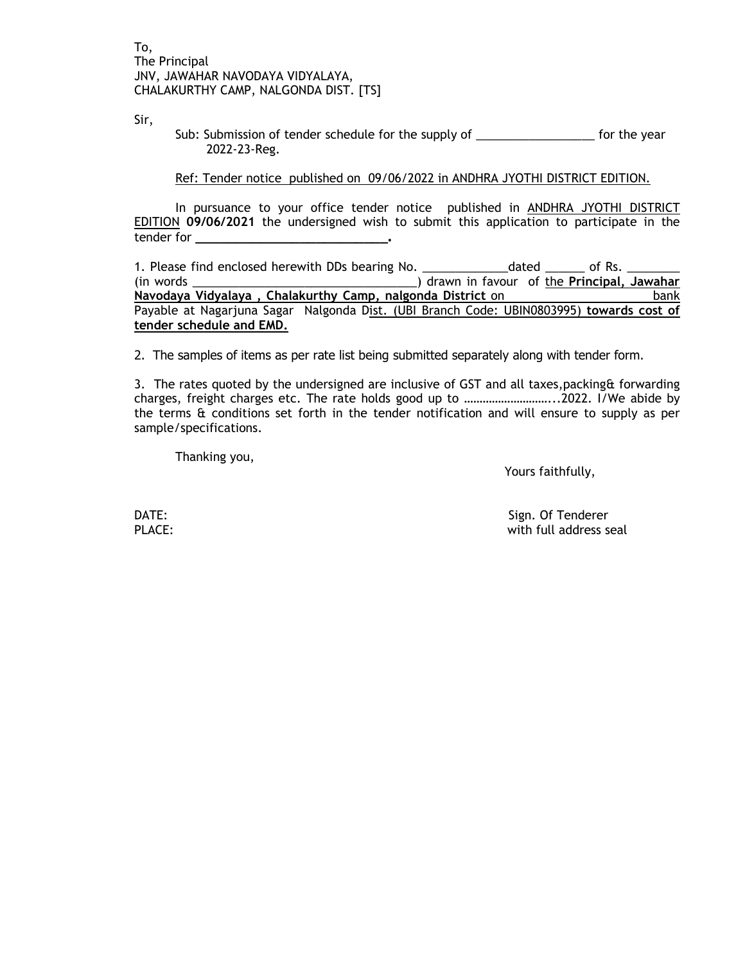Sir,

Sub: Submission of tender schedule for the supply of \_\_\_\_\_\_\_\_\_\_\_\_\_\_\_\_\_\_\_\_\_\_\_ for the year 2022-23-Reg.

Ref: Tender notice published on 09/06/2022 in ANDHRA JYOTHI DISTRICT EDITION.

 In pursuance to your office tender notice published in ANDHRA JYOTHI DISTRICT EDITION **09/06/2021** the undersigned wish to submit this application to participate in the tender for **\_\_\_\_\_\_\_\_\_\_\_\_\_\_\_\_\_\_\_\_\_\_\_\_.** 

1. Please find enclosed herewith DDs bearing No. \_\_\_\_\_\_\_\_\_\_\_\_\_\_dated \_\_\_\_\_\_ of Rs. (in words \_\_\_\_\_\_\_\_\_\_\_\_\_\_\_\_\_\_\_\_\_\_\_\_\_\_\_\_\_\_\_\_\_\_) drawn in favour of the **Principal, Jawahar Navodaya** Vidyalaya, Chalakurthy Camp, nalgonda District on **bank** Payable at Nagarjuna Sagar Nalgonda Dist. (UBI Branch Code: UBIN0803995) **towards cost of tender schedule and EMD.**

2. The samples of items as per rate list being submitted separately along with tender form.

3. The rates quoted by the undersigned are inclusive of GST and all taxes, packing & forwarding charges, freight charges etc. The rate holds good up to ………………………...2022. I/We abide by the terms & conditions set forth in the tender notification and will ensure to supply as per sample/specifications.

Thanking you,

Yours faithfully,

DATE: Sign. Of Tenderer PLACE: with full address seal